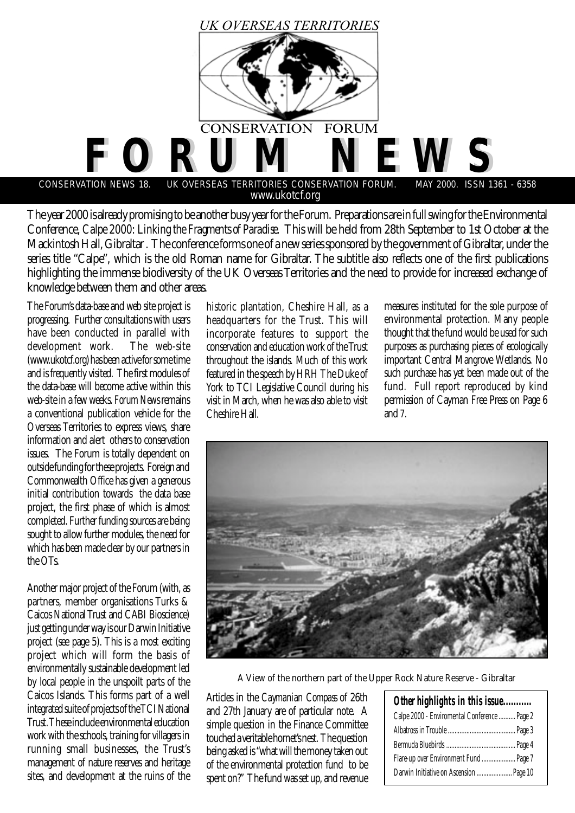

The year 2000 is already promising to be another busy year for the Forum. Preparations are in full swing for the Environmental Conference, *Calpe 2000: Linking the Fragments of Paradise*. This will be held from 28th September to 1st October at the Mackintosh Hall, Gibraltar . The conference forms one of a new series sponsored by the government of Gibraltar, under the series title "Calpe", which is the old Roman name for Gibraltar. The subtitle also reflects one of the first publications highlighting the immense biodiversity of the UK Overseas Territories and the need to provide for increased exchange of knowledge between them and other areas.

The Forum's data-base and web site project is progressing. Further consultations with users have been conducted in parallel with<br>development work. The web-site development work. (www.ukotcf.org) has been active for some time and is frequently visited. The first modules of the data-base will become active within this web-site in a few weeks. *Forum News* remains a conventional publication vehicle for the Overseas Territories to express views, share information and alert others to conservation issues. The Forum is totally dependent on outside funding for these projects. Foreign and Commonwealth Office has given a generous initial contribution towards the data base project, the first phase of which is almost completed. Further funding sources are being sought to allow further modules, the need for which has been made clear by our partners in the OTs.

Another major project of the Forum (with, as partners, member organisations Turks & Caicos National Trust and CABI Bioscience) just getting under way is our Darwin Initiative project (see page 5). This is a most exciting project which will form the basis of environmentally sustainable development led by local people in the unspoilt parts of the Caicos Islands. This forms part of a well integrated suite of projects of the TCI National Trust. These include environmental education work with the schools, training for villagers in running small businesses, the Trust's management of nature reserves and heritage sites, and development at the ruins of the

historic plantation, Cheshire Hall, as a headquarters for the Trust. This will incorporate features to support the conservation and education work of the Trust throughout the islands. Much of this work featured in the speech by HRH The Duke of York to TCI Legislative Council during his visit in March, when he was also able to visit Cheshire Hall.

measures instituted for the sole purpose of environmental protection. Many people thought that the fund would be used for such purposes as purchasing pieces of ecologically important Central Mangrove Wetlands. No such purchase has yet been made out of the fund. Full report reproduced by kind permission of Cayman Free Press on Page 6 and 7.



A View of the northern part of the Upper Rock Nature Reserve - Gibraltar

Articles in the *Caymanian Compass* of 26th and 27th January are of particular note. A simple question in the Finance Committee touched a veritable hornet's nest. The question being asked is "what will the money taken out of the environmental protection fund to be spent on?" The fund was set up, and revenue

| Calpe 2000 - Enviromental Conference  Page 2<br>Darwin Initiative on Ascension  Page 10 |
|-----------------------------------------------------------------------------------------|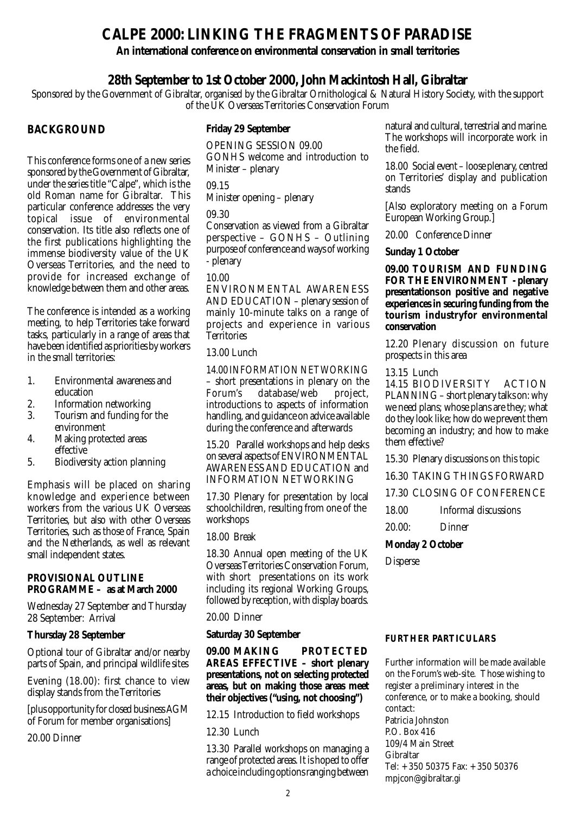## **CALPE 2000: LINKING THE FRAGMENTS OF PARADISE**

## **An international conference on environmental conservation in small territories**

## **28th September to 1st October 2000, John Mackintosh Hall, Gibraltar**

Sponsored by the Government of Gibraltar, organised by the Gibraltar Ornithological & Natural History Society, with the support of the UK Overseas Territories Conservation Forum

## **BACKGROUND**

This conference forms one of a new series sponsored by the Government of Gibraltar, under the series title "Calpe", which is the old Roman name for Gibraltar. This particular conference addresses the very topical issue of environmental conservation. Its title also reflects one of the first publications highlighting the immense biodiversity value of the UK Overseas Territories, and the need to provide for increased exchange of knowledge between them and other areas.

The conference is intended as a working meeting, to help Territories take forward tasks, particularly in a range of areas that have been identified as priorities by workers in the small territories:

- 1. Environmental awareness and education
- 2. Information networking<br>3. Tourism and funding for
- 3. Tourism and funding for the environment
- 4. Making protected areas effective
- 5. Biodiversity action planning

Emphasis will be placed on sharing knowledge and experience between workers from the various UK Overseas Territories, but also with other Overseas Territories, such as those of France, Spain and the Netherlands, as well as relevant small independent states.

### **PROVISIONAL OUTLINE PROGRAMME – as at March 2000**

Wednesday 27 September and Thursday 28 September: Arrival

## **Thursday 28 September**

Optional tour of Gibraltar and/or nearby parts of Spain, and principal wildlife sites

Evening (18.00): first chance to view display stands from the Territories

[plus opportunity for closed business AGM of Forum for member organisations]

20.00 Dinner

## **Friday 29 September**

OPENING SESSION 09.00 GONHS welcome and introduction to Minister – plenary

09.15

Minister opening – plenary

### 09.30

Conservation as viewed from a Gibraltar perspective – GONHS – Outlining purpose of conference and ways of working - plenary

### 10.00

ENVIRONMENTAL AWARENESS AND EDUCATION – plenary session of mainly 10-minute talks on a range of projects and experience in various **Territories** 

## 13.00 Lunch

14.00 INFORMATION NETWORKING – short presentations in plenary on the Forum's database/web project, introductions to aspects of information handling, and guidance on advice available during the conference and afterwards

15.20 Parallel workshops and help desks on several aspects of ENVIRONMENTAL AWARENESS AND EDUCATION and INFORMATION NETWORKING

17.30 Plenary for presentation by local schoolchildren, resulting from one of the workshops

18.00 Break

18.30 Annual open meeting of the UK Overseas Territories Conservation Forum, with short presentations on its work including its regional Working Groups, followed by reception, with display boards.

## 20.00 Dinner

## **Saturday 30 September**

**09.00 MAKING PROTECTED AREAS EFFECTIVE – short plenary presentations, not on selecting protected areas, but on making those areas meet their objectives ("using, not choosing")**

12.15 Introduction to field workshops

12.30 Lunch

13.30 Parallel workshops on managing a range of protected areas. It is hoped to offer a choice including options ranging between natural and cultural, terrestrial and marine. The workshops will incorporate work in the field.

18.00 Social event – loose plenary, centred on Territories' display and publication stands

[Also exploratory meeting on a Forum European Working Group.]

20.00 Conference Dinner

**Sunday 1 October**

**09.00 TOURISM AND FUNDING FOR THE ENVIRONMENT - plenary presentations on positive and negative experiences in securing funding from the tourism industryfor environmental conservation**

12.20 Plenary discussion on future prospects in this area

### 13.15 Lunch

14.15 BIODIVERSITY ACTION PLANNING – short plenary talks on: why we need plans; whose plans are they; what do they look like; how do we prevent them becoming an industry; and how to make them effective?

15.30 Plenary discussions on this topic

16.30 TAKING THINGS FORWARD

17.30 CLOSING OF CONFERENCE

- 18.00 Informal discussions
- 20.00: Dinner

## **Monday 2 October**

Disperse

## **FURTHER PARTICULARS**

Further information will be made available on the Forum's web-site. Those wishing to register a preliminary interest in the conference, or to make a booking, should contact: Patricia Johnston P.O. Box 416 109/4 Main Street Gibraltar Tel: + 350 50375 Fax: + 350 50376 mpjcon@gibraltar.gi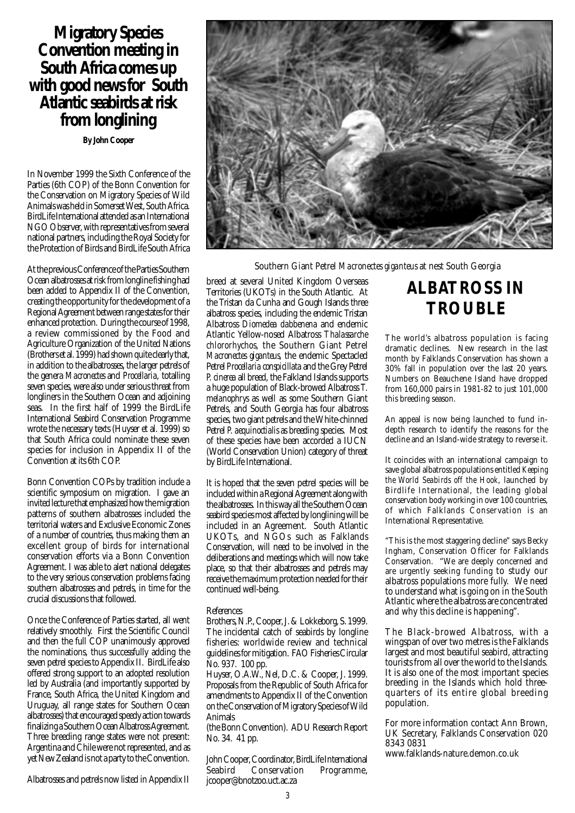## **Migratory Species Convention meeting in South Africa comes up with good news for South Atlantic seabirds at risk from longlining**

**By John Cooper**

In November 1999 the Sixth Conference of the Parties (6th COP) of the Bonn Convention for the Conservation on Migratory Species of Wild Animals was held in Somerset West, South Africa. BirdLife International attended as an International NGO Observer, with representatives from several national partners, including the Royal Society for the Protection of Birds and BirdLife South Africa

At the previous Conference of the Parties Southern Ocean albatrosses at risk from longline fishing had been added to Appendix II of the Convention, creating the opportunity for the development of a Regional Agreement between range states for their enhanced protection. During the course of 1998, a review commissioned by the Food and Agriculture Organization of the United Nations (Brothers et al. 1999) had shown quite clearly that, in addition to the albatrosses, the larger petrels of the genera *Macronectes* and *Procellaria*, totalling seven species, were also under serious threat from longliners in the Southern Ocean and adjoining seas. In the first half of 1999 the BirdLife International Seabird Conservation Programme wrote the necessary texts (Huyser et al. 1999) so that South Africa could nominate these seven species for inclusion in Appendix II of the Convention at its 6th COP.

Bonn Convention COPs by tradition include a scientific symposium on migration. I gave an invited lecture that emphasized how the migration patterns of southern albatrosses included the territorial waters and Exclusive Economic Zones of a number of countries, thus making them an excellent group of birds for international conservation efforts via a Bonn Convention Agreement. I was able to alert national delegates to the very serious conservation problems facing southern albatrosses and petrels, in time for the crucial discussions that followed.

Once the Conference of Parties started, all went relatively smoothly. First the Scientific Council and then the full COP unanimously approved the nominations, thus successfully adding the seven petrel species to Appendix II. BirdLife also offered strong support to an adopted resolution led by Australia (and importantly supported by France, South Africa, the United Kingdom and Uruguay, all range states for Southern Ocean albatrosses) that encouraged speedy action towards finalizing a Southern Ocean Albatross Agreement. Three breeding range states were not present: Argentina and Chile were not represented, and as yet New Zealand is not a party to the Convention.

Albatrosses and petrels now listed in Appendix II



Southern Giant Petrel *Macronectes giganteus* at nest South Georgia

breed at several United Kingdom Overseas Territories (UKOTs) in the South Atlantic. At the Tristan da Cunha and Gough Islands three albatross species, including the endemic Tristan Albatross *Diomedea dabbenena* and endemic Atlantic Yellow-nosed Albatross *Thalassarche chlororhychos*, the Southern Giant Petrel *Macronectes giganteus*, the endemic Spectacled Petrel *Procellaria conspicillata* and the Grey Petrel *P. cinerea* all breed, the Falkland Islands supports a huge population of Black-browed Albatross *T. melanophrys* as well as some Southern Giant Petrels, and South Georgia has four albatross species, two giant petrels and the White-chinned Petrel *P. aequinoctialis* as breeding species. Most of these species have been accorded a IUCN (World Conservation Union) category of threat by BirdLife International.

It is hoped that the seven petrel species will be included within a Regional Agreement along with the albatrosses. In this way all the Southern Ocean seabird species most affected by longlining will be included in an Agreement. South Atlantic UKOTs, and NGOs such as Falklands Conservation, will need to be involved in the deliberations and meetings which will now take place, so that their albatrosses and petrels may receive the maximum protection needed for their continued well-being.

#### References

Brothers, N.P., Cooper, J. & Lokkeborg, S. 1999. The incidental catch of seabirds by longline fisheries: worldwide review and technical guidelines for mitigation. FAO Fisheries Circular No. 937. 100 pp.

Huyser, O.A.W., Nel, D.C. & Cooper, J. 1999. Proposals from the Republic of South Africa for amendments to Appendix II of the Convention on the Conservation of Migratory Species of Wild Animals

(the Bonn Convention). ADU Research Report No. 34. 41 pp.

John Cooper, Coordinator, BirdLife International Conservation jcooper@bnotzoo.uct.ac.za

# **ALBATROSS IN TROUBLE**

The world's albatross population is facing dramatic declines. New research in the last month by Falklands Conservation has shown a 30% fall in population over the last 20 years. Numbers on Beauchene Island have dropped from 160,000 pairs in 1981-82 to just 101,000 this breeding season.

An appeal is now being launched to fund indepth research to identify the reasons for the decline and an Island-wide strategy to reverse it.

It coincides with an international campaign to save global albatross populations entitled *Keeping the World Seabirds off the Hook*, launched by Birdlife International, the leading global conservation body working in over 100 countries, of which Falklands Conservation is an International Representative.

"This is the most staggering decline" says Becky Ingham, Conservation Officer for Falklands Conservation. "We are deeply concerned and are urgently seeking funding to study our albatross populations more fully. We need to understand what is going on in the South Atlantic where the albatross are concentrated and why this decline is happening".

The Black-browed Albatross, with a wingspan of over two metres is the Falklands largest and most beautiful seabird, attracting tourists from all over the world to the Islands. It is also one of the most important species breeding in the Islands which hold threequarters of its entire global breeding population.

For more information contact Ann Brown, UK Secretary, Falklands Conservation 020 8343 0831

www.falklands-nature.demon.co.uk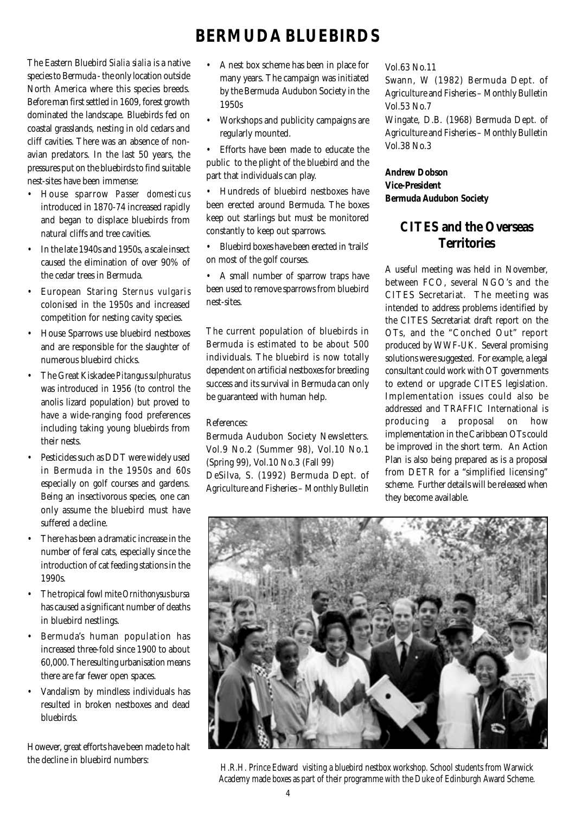# **BERMUDA BLUEBIRDS**

The Eastern Bluebird *Sialia sialia* is a native species to Bermuda - the only location outside North America where this species breeds. Before man first settled in 1609, forest growth dominated the landscape. Bluebirds fed on coastal grasslands, nesting in old cedars and cliff cavities. There was an absence of nonavian predators. In the last 50 years, the pressures put on the bluebirds to find suitable nest-sites have been immense:

- House sparrow *Passer domesticus* introduced in 1870-74 increased rapidly and began to displace bluebirds from natural cliffs and tree cavities.
- In the late 1940s and 1950s, a scale insect caused the elimination of over 90% of the cedar trees in Bermuda.
- European Staring *Sternus vulgaris* colonised in the 1950s and increased competition for nesting cavity species.
- House Sparrows use bluebird nestboxes and are responsible for the slaughter of numerous bluebird chicks.
- The Great Kiskadee *Pitangus sulphuratus* was introduced in 1956 (to control the anolis lizard population) but proved to have a wide-ranging food preferences including taking young bluebirds from their nests.
- Pesticides such as DDT were widely used in Bermuda in the 1950s and 60s especially on golf courses and gardens. Being an insectivorous species, one can only assume the bluebird must have suffered a decline.
- There has been a dramatic increase in the number of feral cats, especially since the introduction of cat feeding stations in the 1990s.
- The tropical fowl mite *Ornithonysus bursa* has caused a significant number of deaths in bluebird nestlings.
- Bermuda's human population has increased three-fold since 1900 to about 60,000. The resulting urbanisation means there are far fewer open spaces.
- Vandalism by mindless individuals has resulted in broken nestboxes and dead bluebirds.

However, great efforts have been made to halt the decline in bluebird numbers:

- A nest box scheme has been in place for many years. The campaign was initiated by the Bermuda Audubon Society in the 1950s
- Workshops and publicity campaigns are regularly mounted.
- Efforts have been made to educate the public to the plight of the bluebird and the part that individuals can play.
- Hundreds of bluebird nestboxes have been erected around Bermuda. The boxes keep out starlings but must be monitored constantly to keep out sparrows.
- Bluebird boxes have been erected in 'trails' on most of the golf courses.

• A small number of sparrow traps have been used to remove sparrows from bluebird nest-sites.

The current population of bluebirds in Bermuda is estimated to be about 500 individuals. The bluebird is now totally dependent on artificial nestboxes for breeding success and its survival in Bermuda can only be guaranteed with human help.

## References:

Bermuda Audubon Society Newsletters. Vol.9 No.2 (Summer 98), Vol.10 No.1 (Spring 99), Vol.10 No.3 (Fall 99) DeSilva, S. (1992) Bermuda Dept. of Agriculture and Fisheries – Monthly Bulletin Vol.63 No.11

Swann, W (1982) Bermuda Dept. of Agriculture and Fisheries – Monthly Bulletin Vol.53 No.7

Wingate, D.B. (1968) Bermuda Dept. of Agriculture and Fisheries – Monthly Bulletin Vol.38 No.3

## **Andrew Dobson Vice-President Bermuda Audubon Society**

## **CITES and the Overseas Territories**

A useful meeting was held in November, between FCO, several NGO's and the CITES Secretariat. The meeting was intended to address problems identified by the CITES Secretariat draft report on the OTs, and the "Conched Out" report produced by WWF-UK. Several promising solutions were suggested. For example, a legal consultant could work with OT governments to extend or upgrade CITES legislation. Implementation issues could also be addressed and TRAFFIC International is producing a proposal on how implementation in the Caribbean OTs could be improved in the short term. An Action Plan is also being prepared as is a proposal from DETR for a "simplified licensing" scheme. Further details will be released when they become available.



H.R.H. Prince Edward visiting a bluebird nestbox workshop. School students from Warwick Academy made boxes as part of their programme with the Duke of Edinburgh Award Scheme.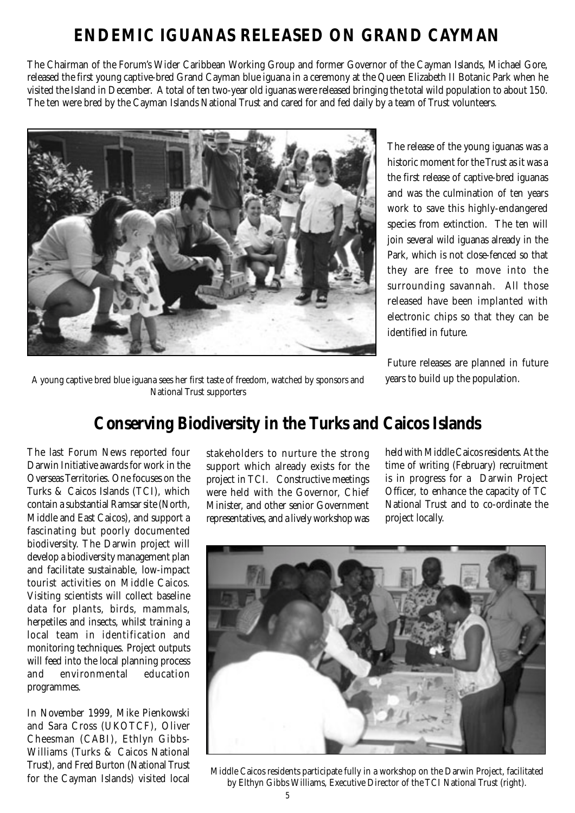# **ENDEMIC IGUANAS RELEASED ON GRAND CAYMAN**

The Chairman of the Forum's Wider Caribbean Working Group and former Governor of the Cayman Islands, Michael Gore, released the first young captive-bred Grand Cayman blue iguana in a ceremony at the Queen Elizabeth II Botanic Park when he visited the Island in December. A total of ten two-year old iguanas were released bringing the total wild population to about 150. The ten were bred by the Cayman Islands National Trust and cared for and fed daily by a team of Trust volunteers.



The release of the young iguanas was a historic moment for the Trust as it was a the first release of captive-bred iguanas and was the culmination of ten years work to save this highly-endangered species from extinction. The ten will join several wild iguanas already in the Park, which is not close-fenced so that they are free to move into the surrounding savannah. All those released have been implanted with electronic chips so that they can be identified in future.

Future releases are planned in future years to build up the population.

A young captive bred blue iguana sees her first taste of freedom, watched by sponsors and National Trust supporters

# **Conserving Biodiversity in the Turks and Caicos Islands**

The last Forum News reported four Darwin Initiative awards for work in the Overseas Territories. One focuses on the Turks & Caicos Islands (TCI), which contain a substantial Ramsar site (North, Middle and East Caicos), and support a fascinating but poorly documented biodiversity. The Darwin project will develop a biodiversity management plan and facilitate sustainable, low-impact tourist activities on Middle Caicos. Visiting scientists will collect baseline data for plants, birds, mammals, herpetiles and insects, whilst training a local team in identification and monitoring techniques. Project outputs will feed into the local planning process<br>and environmental education and environmental programmes.

In November 1999, Mike Pienkowski and Sara Cross (UKOTCF), Oliver Cheesman (CABI), Ethlyn Gibbs-Williams (Turks & Caicos National Trust), and Fred Burton (National Trust for the Cayman Islands) visited local

stakeholders to nurture the strong support which already exists for the project in TCI. Constructive meetings were held with the Governor, Chief Minister, and other senior Government representatives, and a lively workshop was

held with Middle Caicos residents. At the time of writing (February) recruitment is in progress for a Darwin Project Officer, to enhance the capacity of TC National Trust and to co-ordinate the project locally.



Middle Caicos residents participate fully in a workshop on the Darwin Project, facilitated by Elthyn Gibbs Williams, Executive Director of the TCI National Trust (right).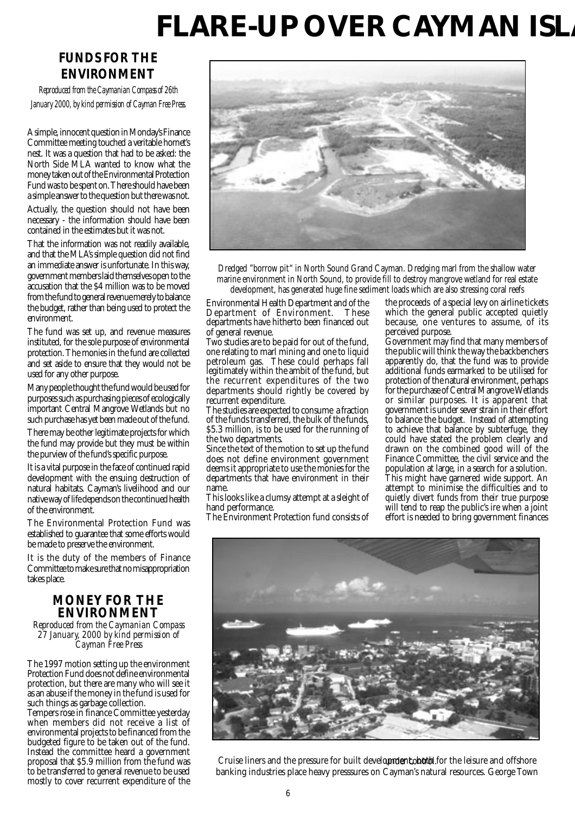# **FLARE-UP OVER CAYMAN ISL**

## **FUNDS FOR THE ENVIRONMENT**

*Reproduced from the Caymanian Compass of 26th January 2000, by kind permission of Cayman Free Press.*

A simple, innocent question in Monday's Finance Committee meeting touched a veritable hornet's nest. It was a question that had to be asked: the North Side MLA wanted to know what the money taken out of the Environmental Protection Fund was to be spent on. There should have been a simple answer to the question but there was not.

Actually, the question should not have been necessary - the information should have been contained in the estimates but it was not.

That the information was not readily available, and that the MLA's simple question did not find an immediate answer is unfortunate. In this way, government members laid themselves open to the accusation that the \$4 million was to be moved from the fund to general revenue merely to balance the budget, rather than being used to protect the environment.

The fund was set up, and revenue measures instituted, for the sole purpose of environmental protection. The monies in the fund are collected and set aside to ensure that they would not be used for any other purpose.

Many people thought the fund would be used for purposes such as purchasing pieces of ecologically important Central Mangrove Wetlands but no such purchase has yet been made out of the fund.

There may be other legitimate projects for which the fund may provide but they must be within the purview of the fund's specific purpose.

It is a vital purpose in the face of continued rapid development with the ensuing destruction of natural habitats. Cayman's livelihood and our native way of life depends on the continued health of the environment.

The Environmental Protection Fund was established to guarantee that some efforts would be made to preserve the environment.

It is the duty of the members of Finance Committee to make sure that no misappropriation takes place.

## **MONEY FOR THE ENVIRONMENT**

*Reproduced from the Caymanian Compass 27 January, 2000 by kind permission of Cayman Free Press*

The 1997 motion setting up the environment Protection Fund does not define environmental protection, but there are many who will see it as an abuse if the money in the fund is used for such things as garbage collection.

Tempers rose in finance Committee yesterday when members did not receive a list of environmental projects to be financed from the budgeted figure to be taken out of the fund. Instead the committee heard a government proposal that \$5.9 million from the fund was to be transferred to general revenue to be used mostly to cover recurrent expenditure of the



Dredged "borrow pit" in North Sound Grand Cayman. Dredging marl from the shallow water marine environment in North Sound, to provide fill to destroy mangrove wetland for real estate development, has generated huge fine sediment loads which are also stressing coral reefs

Environmental Health Department and of the Department of Environment. These departments have hitherto been financed out of general revenue.

Two studies are to be paid for out of the fund, one relating to marl mining and one to liquid petroleum gas. These could perhaps fall legitimately within the ambit of the fund, but the recurrent expenditures of the two departments should rightly be covered by recurrent expenditure.

The studies are expected to consume a fraction of the funds transferred, the bulk of the funds, \$5.3 million, is to be used for the running of the two departments.

Since the text of the motion to set up the fund does not define environment government deems it appropriate to use the monies for the departments that have environment in their name.

This looks like a clumsy attempt at a sleight of hand performance.

The Environment Protection fund consists of

the proceeds of a special levy on airline tickets which the general public accepted quietly because, one ventures to assume, of its perceived purpose.

Government may find that many members of the public will think the way the backbenchers apparently do, that the fund was to provide additional funds earmarked to be utilised for protection of the natural environment, perhaps for the purchase of Central Mangrove Wetlands or similar purposes. It is apparent that government is under sever strain in their effort to balance the budget. Instead of attempting to achieve that balance by subterfuge, they could have stated the problem clearly and drawn on the combined good will of the Finance Committee, the civil service and the population at large, in a search for a solution. This might have garnered wide support. An attempt to minimise the difficulties and to quietly divert funds from their true purpose will tend to reap the public's ire when a joint effort is needed to bring government finances



Cruise liners and the pressure for built develo**pndent, both f**or the leisure and offshore banking industries place heavy presssures on Cayman's natural resources. George Town